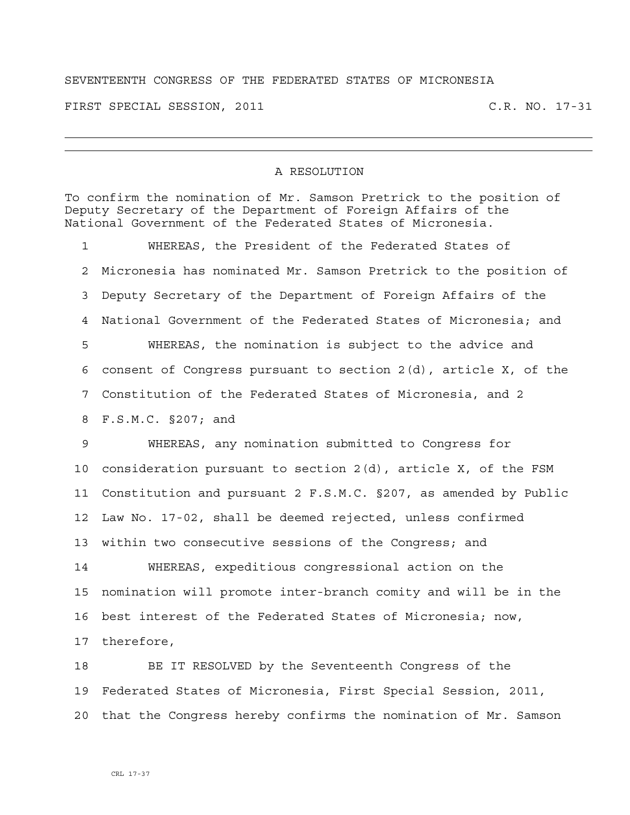## SEVENTEENTH CONGRESS OF THE FEDERATED STATES OF MICRONESIA

FIRST SPECIAL SESSION, 2011 C.R. NO. 17-31

## A RESOLUTION

To confirm the nomination of Mr. Samson Pretrick to the position of Deputy Secretary of the Department of Foreign Affairs of the National Government of the Federated States of Micronesia.

1 WHEREAS, the President of the Federated States of 2 Micronesia has nominated Mr. Samson Pretrick to the position of 3 Deputy Secretary of the Department of Foreign Affairs of the 4 National Government of the Federated States of Micronesia; and 5 WHEREAS, the nomination is subject to the advice and 6 consent of Congress pursuant to section 2(d), article X, of the 7 Constitution of the Federated States of Micronesia, and 2 8 F.S.M.C. §207; and

9 WHEREAS, any nomination submitted to Congress for 10 consideration pursuant to section 2(d), article X, of the FSM 11 Constitution and pursuant 2 F.S.M.C. §207, as amended by Public 12 Law No. 17-02, shall be deemed rejected, unless confirmed 13 within two consecutive sessions of the Congress; and

14 WHEREAS, expeditious congressional action on the 15 nomination will promote inter-branch comity and will be in the 16 best interest of the Federated States of Micronesia; now, 17 therefore,

18 BE IT RESOLVED by the Seventeenth Congress of the 19 Federated States of Micronesia, First Special Session, 2011, 20 that the Congress hereby confirms the nomination of Mr. Samson